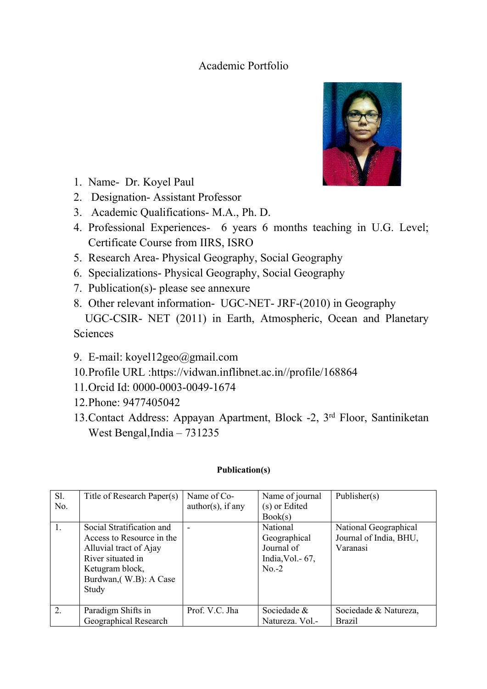## Academic Portfolio



- 1. Name- Dr. Koyel Paul
- 2. Designation- Assistant Professor
- 3. Academic Qualifications- M.A., Ph. D.
- 4. Professional Experiences- 6 years 6 months teaching in U.G. Level; Certificate Course from IIRS, ISRO
- 5. Research Area- Physical Geography, Social Geography
- 6. Specializations- Physical Geography, Social Geography
- 7. Publication(s)- please see annexure
- 8. Other relevant information- UGC-NET- JRF-(2010) in Geography UGC-CSIR- NET (2011) in Earth, Atmospheric, Ocean and Planetary

**Sciences** 

- 9. E-mail: koyel12geo@gmail.com
- 10.Profile URL :https://vidwan.inflibnet.ac.in//profile/168864
- 11.Orcid Id: 0000-0003-0049-1674
- 12.Phone: 9477405042
- 13.Contact Address: Appayan Apartment, Block -2, 3 rd Floor, Santiniketan West Bengal,India – 731235

## **Publication(s)**

| Sl. | Title of Research Paper(s) | Name of Co-                 | Name of journal   | Publisher(s)           |
|-----|----------------------------|-----------------------------|-------------------|------------------------|
| No. |                            | $\text{author}(s)$ , if any | (s) or Edited     |                        |
|     |                            |                             | Book(s)           |                        |
| 1.  | Social Stratification and  | $\overline{\phantom{a}}$    | National          | National Geographical  |
|     | Access to Resource in the  |                             | Geographical      | Journal of India, BHU, |
|     | Alluvial tract of Ajay     |                             | Journal of        | Varanasi               |
|     | River situated in          |                             | India, Vol. - 67, |                        |
|     | Ketugram block,            |                             | $No.-2$           |                        |
|     | Burdwan, (W.B): A Case     |                             |                   |                        |
|     | Study                      |                             |                   |                        |
|     |                            |                             |                   |                        |
| 2.  | Paradigm Shifts in         | Prof. V.C. Jha              | Sociedade &       | Sociedade & Natureza,  |
|     | Geographical Research      |                             | Natureza. Vol.-   | <b>Brazil</b>          |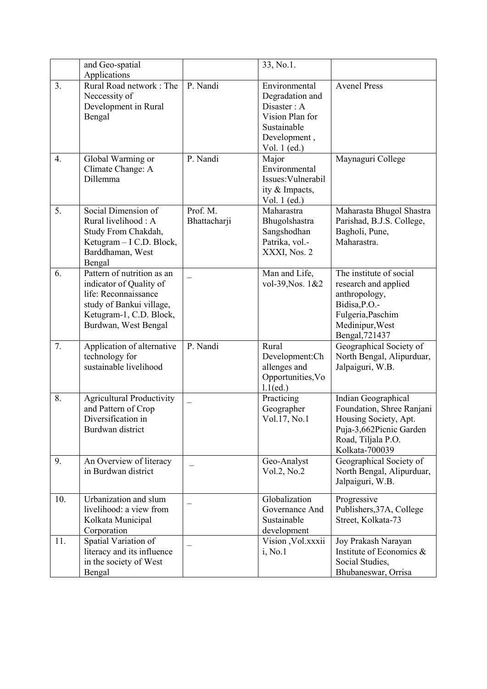|     | and Geo-spatial                                                                                                                                              |                          | 33, No.1.                                                                                                         |                                                                                                                                              |
|-----|--------------------------------------------------------------------------------------------------------------------------------------------------------------|--------------------------|-------------------------------------------------------------------------------------------------------------------|----------------------------------------------------------------------------------------------------------------------------------------------|
| 3.  | Applications<br>Rural Road network: The<br>Necessity of<br>Development in Rural<br>Bengal                                                                    | P. Nandi                 | Environmental<br>Degradation and<br>Disaster: A<br>Vision Plan for<br>Sustainable<br>Development,<br>Vol. 1 (ed.) | <b>Avenel Press</b>                                                                                                                          |
| 4.  | Global Warming or<br>Climate Change: A<br>Dillemma                                                                                                           | P. Nandi                 | Major<br>Environmental<br>Issues: Vulnerabil<br>ity & Impacts,<br>Vol. 1 (ed.)                                    | Maynaguri College                                                                                                                            |
| 5.  | Social Dimension of<br>Rural livelihood: A<br>Study From Chakdah,<br>Ketugram - I C.D. Block,<br>Barddhaman, West<br>Bengal                                  | Prof. M.<br>Bhattacharji | Maharastra<br>Bhugolshastra<br>Sangshodhan<br>Patrika, vol.-<br>XXXI, Nos. 2                                      | Maharasta Bhugol Shastra<br>Parishad, B.J.S. College,<br>Bagholi, Pune,<br>Maharastra.                                                       |
| 6.  | Pattern of nutrition as an<br>indicator of Quality of<br>life: Reconnaissance<br>study of Bankui village,<br>Ketugram-1, C.D. Block,<br>Burdwan, West Bengal |                          | Man and Life,<br>vol-39, Nos. 1&2                                                                                 | The institute of social<br>research and applied<br>anthropology,<br>Bidisa, P.O.-<br>Fulgeria, Paschim<br>Medinipur, West<br>Bengal, 721437  |
| 7.  | Application of alternative<br>technology for<br>sustainable livelihood                                                                                       | P. Nandi                 | Rural<br>Development:Ch<br>allenges and<br>Opportunities, Vo<br>$1.1$ (ed.)                                       | Geographical Society of<br>North Bengal, Alipurduar,<br>Jalpaiguri, W.B.                                                                     |
| 8.  | <b>Agricultural Productivity</b><br>and Pattern of Crop<br>Diversification in<br>Burdwan district                                                            |                          | Practicing<br>Geographer<br>Vol.17, No.1                                                                          | Indian Geographical<br>Foundation, Shree Ranjani<br>Housing Society, Apt.<br>Puja-3,662Picnic Garden<br>Road, Tiljala P.O.<br>Kolkata-700039 |
| 9.  | An Overview of literacy<br>in Burdwan district                                                                                                               |                          | Geo-Analyst<br>Vol.2, No.2                                                                                        | Geographical Society of<br>North Bengal, Alipurduar,<br>Jalpaiguri, W.B.                                                                     |
| 10. | Urbanization and slum<br>livelihood: a view from<br>Kolkata Municipal<br>Corporation                                                                         |                          | Globalization<br>Governance And<br>Sustainable<br>development                                                     | Progressive<br>Publishers, 37A, College<br>Street, Kolkata-73                                                                                |
| 11. | Spatial Variation of<br>literacy and its influence<br>in the society of West<br>Bengal                                                                       |                          | Vision , Vol.xxxii<br>i, No.1                                                                                     | Joy Prakash Narayan<br>Institute of Economics &<br>Social Studies,<br>Bhubaneswar, Orrisa                                                    |